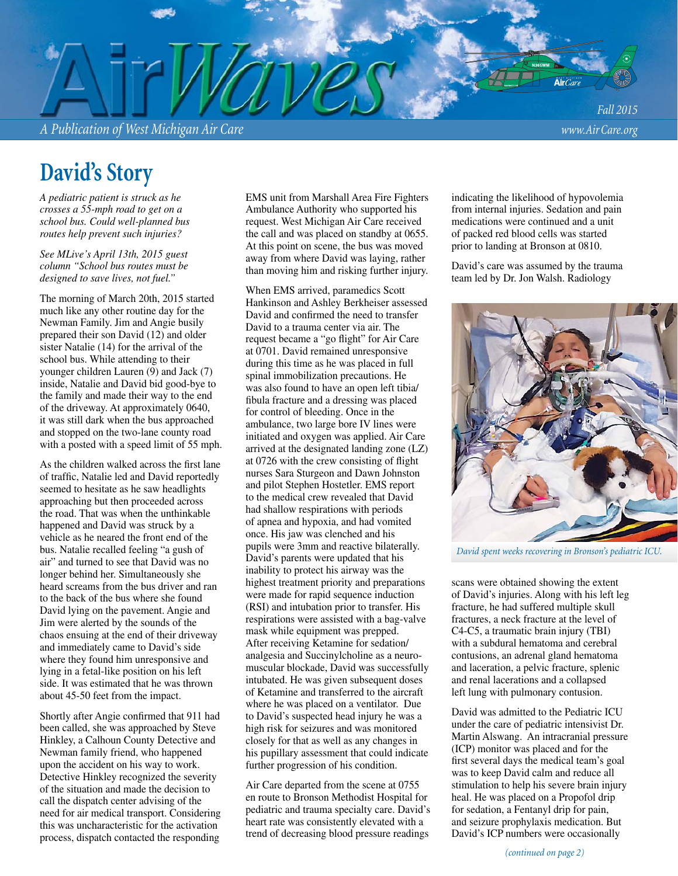*A Publication of West Michigan Air Care www.Air Care.org*

*Fall 2015*

### **David's Story**

*A pediatric patient is struck as he crosses a 55-mph road to get on a school bus. Could well-planned bus routes help prevent such injuries?* 

*See MLive's April 13th, 2015 guest column "School bus routes must be designed to save lives, not fuel."*

The morning of March 20th, 2015 started much like any other routine day for the Newman Family. Jim and Angie busily prepared their son David (12) and older sister Natalie (14) for the arrival of the school bus. While attending to their younger children Lauren  $(\overline{9})$  and Jack  $(7)$ inside, Natalie and David bid good-bye to the family and made their way to the end of the driveway. At approximately 0640, it was still dark when the bus approached and stopped on the two-lane county road with a posted with a speed limit of 55 mph.

As the children walked across the first lane of traffic, Natalie led and David reportedly seemed to hesitate as he saw headlights approaching but then proceeded across the road. That was when the unthinkable happened and David was struck by a vehicle as he neared the front end of the bus. Natalie recalled feeling "a gush of air" and turned to see that David was no longer behind her. Simultaneously she heard screams from the bus driver and ran to the back of the bus where she found David lying on the pavement. Angie and Jim were alerted by the sounds of the chaos ensuing at the end of their driveway and immediately came to David's side where they found him unresponsive and lying in a fetal-like position on his left side. It was estimated that he was thrown about 45-50 feet from the impact.

Shortly after Angie confirmed that 911 had been called, she was approached by Steve Hinkley, a Calhoun County Detective and Newman family friend, who happened upon the accident on his way to work. Detective Hinkley recognized the severity of the situation and made the decision to call the dispatch center advising of the need for air medical transport. Considering this was uncharacteristic for the activation process, dispatch contacted the responding

EMS unit from Marshall Area Fire Fighters Ambulance Authority who supported his request. West Michigan Air Care received the call and was placed on standby at 0655. At this point on scene, the bus was moved away from where David was laying, rather than moving him and risking further injury.

When EMS arrived, paramedics Scott Hankinson and Ashley Berkheiser assessed David and confirmed the need to transfer David to a trauma center via air. The request became a "go flight" for Air Care at 0701. David remained unresponsive during this time as he was placed in full spinal immobilization precautions. He was also found to have an open left tibia/ fibula fracture and a dressing was placed for control of bleeding. Once in the ambulance, two large bore IV lines were initiated and oxygen was applied. Air Care arrived at the designated landing zone (LZ) at  $0726$  with the crew consisting of flight nurses Sara Sturgeon and Dawn Johnston and pilot Stephen Hostetler. EMS report to the medical crew revealed that David had shallow respirations with periods of apnea and hypoxia, and had vomited once. His jaw was clenched and his pupils were 3mm and reactive bilaterally. David's parents were updated that his inability to protect his airway was the highest treatment priority and preparations were made for rapid sequence induction (RSI) and intubation prior to transfer. His respirations were assisted with a bag-valve mask while equipment was prepped. After receiving Ketamine for sedation/ analgesia and Succinylcholine as a neuromuscular blockade, David was successfully intubated. He was given subsequent doses of Ketamine and transferred to the aircraft where he was placed on a ventilator. Due to David's suspected head injury he was a high risk for seizures and was monitored closely for that as well as any changes in his pupillary assessment that could indicate further progression of his condition.

Air Care departed from the scene at 0755 en route to Bronson Methodist Hospital for pediatric and trauma specialty care. David's heart rate was consistently elevated with a trend of decreasing blood pressure readings

indicating the likelihood of hypovolemia from internal injuries. Sedation and pain medications were continued and a unit of packed red blood cells was started prior to landing at Bronson at 0810.

David's care was assumed by the trauma team led by Dr. Jon Walsh. Radiology



*David spent weeks recovering in Bronson's pediatric ICU.*

scans were obtained showing the extent of David's injuries. Along with his left leg fracture, he had suffered multiple skull fractures, a neck fracture at the level of C4-C5, a traumatic brain injury (TBI) with a subdural hematoma and cerebral contusions, an adrenal gland hematoma and laceration, a pelvic fracture, splenic and renal lacerations and a collapsed left lung with pulmonary contusion.

David was admitted to the Pediatric ICU under the care of pediatric intensivist Dr. Martin Alswang. An intracranial pressure (ICP) monitor was placed and for the first several days the medical team's goal was to keep David calm and reduce all stimulation to help his severe brain injury heal. He was placed on a Propofol drip for sedation, a Fentanyl drip for pain, and seizure prophylaxis medication. But David's ICP numbers were occasionally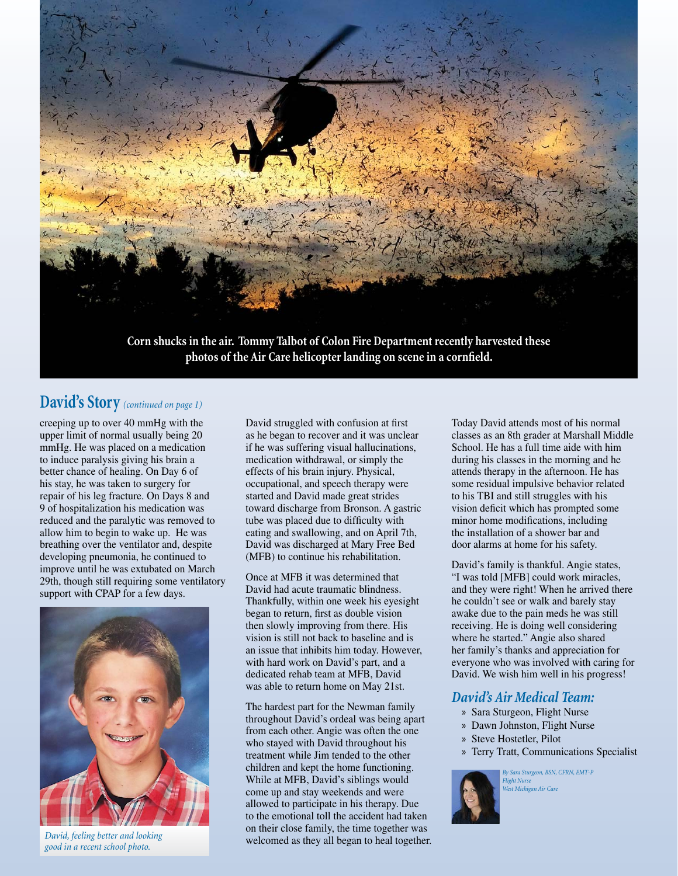

#### **David's Story** *(continued on page 1)*

creeping up to over 40 mmHg with the upper limit of normal usually being 20 mmHg. He was placed on a medication to induce paralysis giving his brain a better chance of healing. On Day 6 of his stay, he was taken to surgery for repair of his leg fracture. On Days 8 and 9 of hospitalization his medication was reduced and the paralytic was removed to allow him to begin to wake up. He was breathing over the ventilator and, despite developing pneumonia, he continued to improve until he was extubated on March 29th, though still requiring some ventilatory support with CPAP for a few days.



*David, feeling better and looking good in a recent school photo.*

David struggled with confusion at first as he began to recover and it was unclear if he was suffering visual hallucinations, medication withdrawal, or simply the effects of his brain injury. Physical, occupational, and speech therapy were started and David made great strides toward discharge from Bronson. A gastric tube was placed due to difficulty with eating and swallowing, and on April 7th, David was discharged at Mary Free Bed (MFB) to continue his rehabilitation.

Once at MFB it was determined that David had acute traumatic blindness. Thankfully, within one week his eyesight began to return, first as double vision then slowly improving from there. His vision is still not back to baseline and is an issue that inhibits him today. However, with hard work on David's part, and a dedicated rehab team at MFB, David was able to return home on May 21st.

The hardest part for the Newman family throughout David's ordeal was being apart from each other. Angie was often the one who stayed with David throughout his treatment while Jim tended to the other children and kept the home functioning. While at MFB, David's siblings would come up and stay weekends and were allowed to participate in his therapy. Due to the emotional toll the accident had taken on their close family, the time together was welcomed as they all began to heal together. Today David attends most of his normal classes as an 8th grader at Marshall Middle School. He has a full time aide with him during his classes in the morning and he attends therapy in the afternoon. He has some residual impulsive behavior related to his TBI and still struggles with his vision deficit which has prompted some minor home modifications, including the installation of a shower bar and door alarms at home for his safety.

David's family is thankful. Angie states, "I was told [MFB] could work miracles, and they were right! When he arrived there he couldn't see or walk and barely stay awake due to the pain meds he was still receiving. He is doing well considering where he started." Angie also shared her family's thanks and appreciation for everyone who was involved with caring for David. We wish him well in his progress!

#### *David's Air Medical Team:*

- » Sara Sturgeon, Flight Nurse
- » Dawn Johnston, Flight Nurse
- » Steve Hostetler, Pilot
- » Terry Tratt, Communications Specialist



*By Sara Sturgeon, BSN, CFRN, EMT-P Flight Nurse West Michigan Air Care*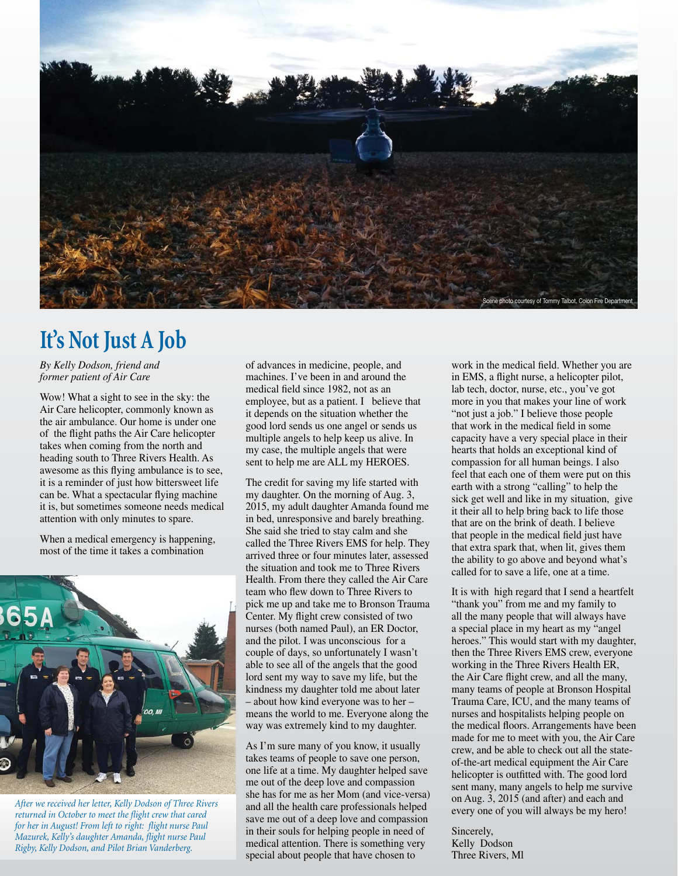

# **It's Not Just A Job**

*By Kelly Dodson, friend and former patient of Air Care*

Wow! What a sight to see in the sky: the Air Care helicopter, commonly known as the air ambulance. Our home is under one of the flight paths the Air Care helicopter takes when coming from the north and heading south to Three Rivers Health. As awesome as this flying ambulance is to see, it is a reminder of just how bittersweet life can be. What a spectacular flying machine it is, but sometimes someone needs medical attention with only minutes to spare.

When a medical emergency is happening, most of the time it takes a combination



*After we received her letter, Kelly Dodson of Three Rivers returned in October to meet the flight crew that cared* for her in August! From left to right: flight nurse Paul *Mazurek, Kelly's daughter Amanda, fl ight nurse Paul Rigby, Kelly Dodson, and Pilot Brian Vanderberg.* 

of advances in medicine, people, and machines. I've been in and around the medical field since 1982, not as an employee, but as a patient. I believe that it depends on the situation whether the good lord sends us one angel or sends us multiple angels to help keep us alive. In my case, the multiple angels that were sent to help me are ALL my HEROES.

The credit for saving my life started with my daughter. On the morning of Aug. 3, 2015, my adult daughter Amanda found me in bed, unresponsive and barely breathing. She said she tried to stay calm and she called the Three Rivers EMS for help. They arrived three or four minutes later, assessed the situation and took me to Three Rivers Health. From there they called the Air Care team who flew down to Three Rivers to pick me up and take me to Bronson Trauma Center. My flight crew consisted of two nurses (both named Paul), an ER Doctor, and the pilot. I was unconscious for a couple of days, so unfortunately I wasn't able to see all of the angels that the good lord sent my way to save my life, but the kindness my daughter told me about later – about how kind everyone was to her – means the world to me. Everyone along the way was extremely kind to my daughter.

As I'm sure many of you know, it usually takes teams of people to save one person, one life at a time. My daughter helped save me out of the deep love and compassion she has for me as her Mom (and vice-versa) and all the health care professionals helped save me out of a deep love and compassion in their souls for helping people in need of medical attention. There is something very special about people that have chosen to

work in the medical field. Whether you are in EMS, a flight nurse, a helicopter pilot, lab tech, doctor, nurse, etc., you've got more in you that makes your line of work "not just a job." I believe those people that work in the medical field in some capacity have a very special place in their hearts that holds an exceptional kind of compassion for all human beings. I also feel that each one of them were put on this earth with a strong "calling" to help the sick get well and like in my situation, give it their all to help bring back to life those that are on the brink of death. I believe that people in the medical field just have that extra spark that, when lit, gives them the ability to go above and beyond what's called for to save a life, one at a time.

It is with high regard that I send a heartfelt "thank you" from me and my family to all the many people that will always have a special place in my heart as my "angel heroes." This would start with my daughter, then the Three Rivers EMS crew, everyone working in the Three Rivers Health ER, the Air Care flight crew, and all the many, many teams of people at Bronson Hospital Trauma Care, ICU, and the many teams of nurses and hospitalists helping people on the medical floors. Arrangements have been made for me to meet with you, the Air Care crew, and be able to check out all the stateof-the-art medical equipment the Air Care helicopter is outfitted with. The good lord sent many, many angels to help me survive on Aug. 3, 2015 (and after) and each and every one of you will always be my hero!

Sincerely, Kelly Dodson Three Rivers, Ml